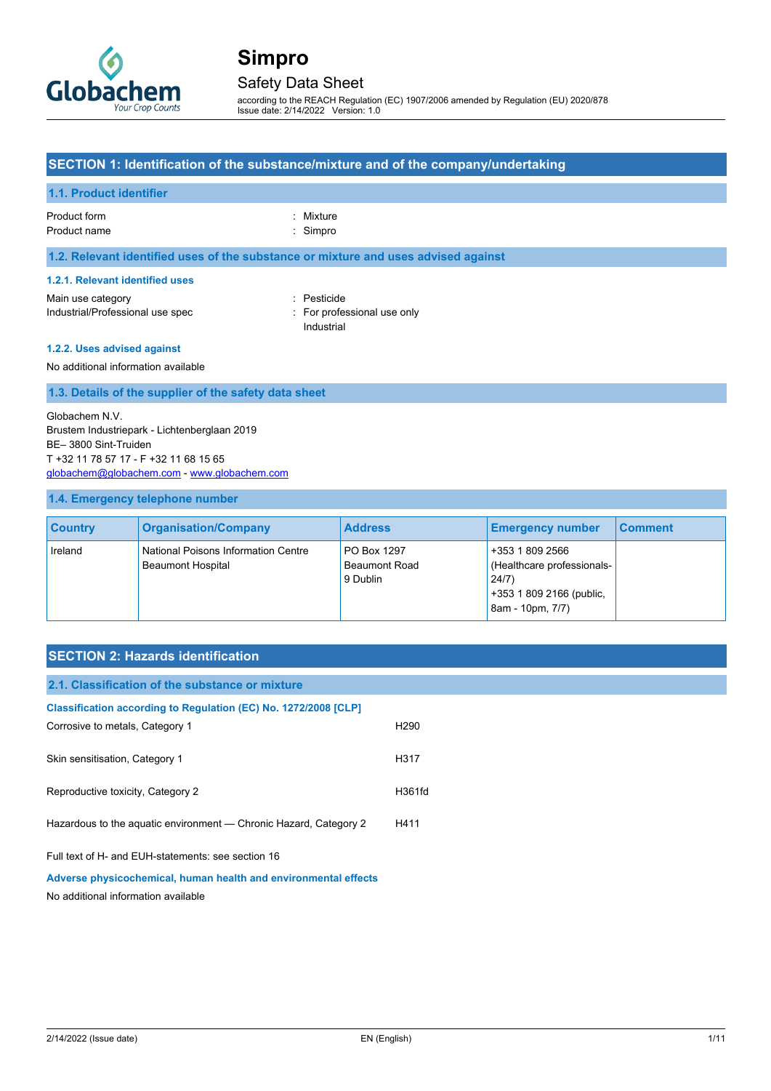

### Safety Data Sheet

according to the REACH Regulation (EC) 1907/2006 amended by Regulation (EU) 2020/878 Issue date: 2/14/2022 Version: 1.0

#### **SECTION 1: Identification of the substance/mixture and of the company/undertaking**

### **1.1. Product identifier**

Product form : Nixture : Mixture

Product name : Simpro

#### **1.2. Relevant identified uses of the substance or mixture and uses advised against**

#### **1.2.1. Relevant identified uses**

Main use category **in the set of the COV** and the Pesticide Industrial/Professional use spec : For professional use only

Industrial

#### **1.2.2. Uses advised against**

#### No additional information available

#### **1.3. Details of the supplier of the safety data sheet**

Globachem N.V. Brustem Industriepark - Lichtenberglaan 2019 BE– 3800 Sint-Truiden T +32 11 78 57 17 - F +32 11 68 15 65 [globachem@globachem.com](mailto:globachem@globachem.com) - [www.globachem.com](http://www.globachem.com/)

#### **1.4. Emergency telephone number**

| <b>Country</b> | <b>Organisation/Company</b>                                     | <b>Address</b>                                  | <b>Emergency number</b>                                                                               | <b>Comment</b> |
|----------------|-----------------------------------------------------------------|-------------------------------------------------|-------------------------------------------------------------------------------------------------------|----------------|
| Ireland        | National Poisons Information Centre<br><b>Beaumont Hospital</b> | PO Box 1297<br><b>Beaumont Road</b><br>9 Dublin | +353 1 809 2566<br>(Healthcare professionals-<br>24/7<br>+353 1 809 2166 (public,<br>8am - 10pm, 7/7) |                |

## **SECTION 2: Hazards identification**

| 2.1. Classification of the substance or mixture                   |                  |
|-------------------------------------------------------------------|------------------|
| Classification according to Regulation (EC) No. 1272/2008 [CLP]   |                  |
| Corrosive to metals, Category 1                                   | H <sub>290</sub> |
| Skin sensitisation, Category 1                                    | H317             |
| Reproductive toxicity, Category 2                                 | H361fd           |
|                                                                   |                  |
| Hazardous to the aquatic environment - Chronic Hazard, Category 2 | H411             |
| Full text of H- and EUH-statements: see section 16                |                  |
| Adverse physicochemical, human health and environmental effects   |                  |
| No additional information available                               |                  |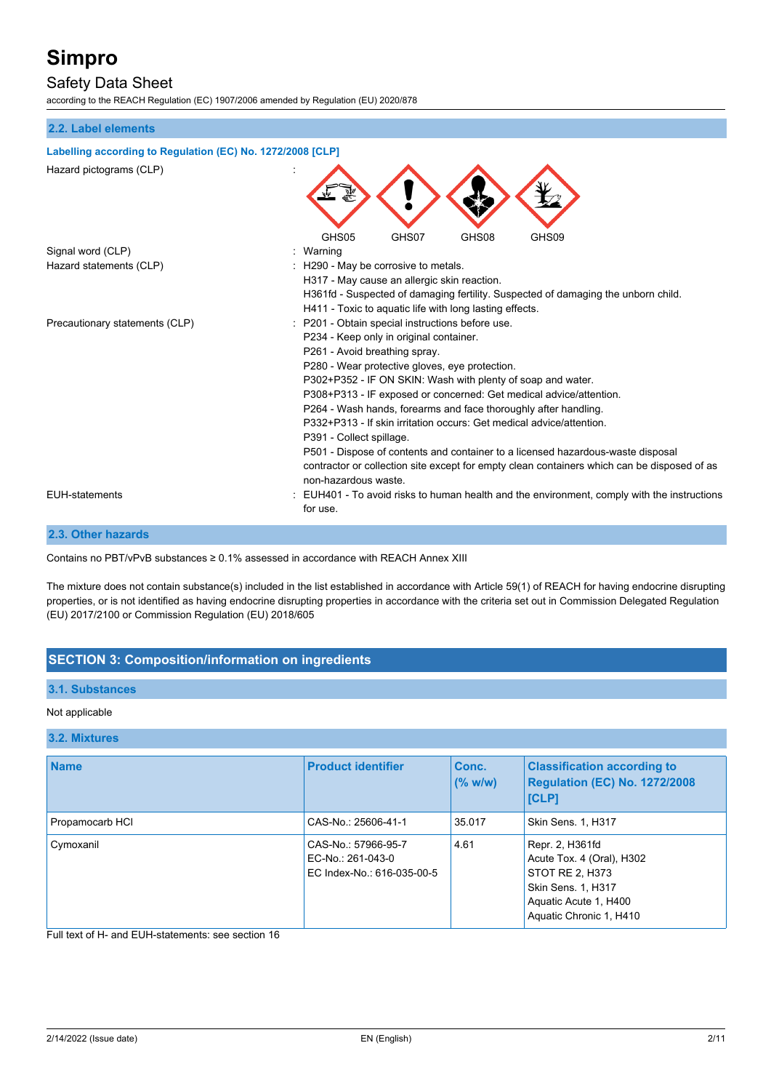## Safety Data Sheet

according to the REACH Regulation (EC) 1907/2006 amended by Regulation (EU) 2020/878

## **2.2. Label elements**

| Labelling according to Regulation (EC) No. 1272/2008 [CLP] |                                                                                                                     |  |  |
|------------------------------------------------------------|---------------------------------------------------------------------------------------------------------------------|--|--|
| Hazard pictograms (CLP)                                    |                                                                                                                     |  |  |
|                                                            | GHS05<br>GHS07<br>GHS08<br>GHS09                                                                                    |  |  |
| Signal word (CLP)                                          | Warning                                                                                                             |  |  |
| Hazard statements (CLP)                                    | H <sub>290</sub> - May be corrosive to metals.                                                                      |  |  |
|                                                            | H317 - May cause an allergic skin reaction.                                                                         |  |  |
|                                                            | H361fd - Suspected of damaging fertility. Suspected of damaging the unborn child.                                   |  |  |
|                                                            | H411 - Toxic to aquatic life with long lasting effects.                                                             |  |  |
| Precautionary statements (CLP)                             | P201 - Obtain special instructions before use.                                                                      |  |  |
|                                                            | P234 - Keep only in original container.                                                                             |  |  |
|                                                            | P261 - Avoid breathing spray.                                                                                       |  |  |
|                                                            | P280 - Wear protective gloves, eye protection.                                                                      |  |  |
|                                                            | P302+P352 - IF ON SKIN: Wash with plenty of soap and water.                                                         |  |  |
|                                                            | P308+P313 - IF exposed or concerned: Get medical advice/attention.                                                  |  |  |
|                                                            | P264 - Wash hands, forearms and face thoroughly after handling.                                                     |  |  |
|                                                            | P332+P313 - If skin irritation occurs: Get medical advice/attention.                                                |  |  |
|                                                            | P391 - Collect spillage.                                                                                            |  |  |
|                                                            | P501 - Dispose of contents and container to a licensed hazardous-waste disposal                                     |  |  |
|                                                            | contractor or collection site except for empty clean containers which can be disposed of as<br>non-hazardous waste. |  |  |
| <b>EUH-statements</b>                                      | EUH401 - To avoid risks to human health and the environment, comply with the instructions<br>for use.               |  |  |
|                                                            |                                                                                                                     |  |  |

## **2.3. Other hazards**

Contains no PBT/vPvB substances ≥ 0.1% assessed in accordance with REACH Annex XIII

The mixture does not contain substance(s) included in the list established in accordance with Article 59(1) of REACH for having endocrine disrupting properties, or is not identified as having endocrine disrupting properties in accordance with the criteria set out in Commission Delegated Regulation (EU) 2017/2100 or Commission Regulation (EU) 2018/605

## **SECTION 3: Composition/information on ingredients**

#### **3.1. Substances**

#### Not applicable

#### **3.2. Mixtures**

| <b>Name</b>     | <b>Product identifier</b>                                              | Conc.<br>(% w/w) | <b>Classification according to</b><br>Regulation (EC) No. 1272/2008<br><b>ICLP1</b>                                                              |
|-----------------|------------------------------------------------------------------------|------------------|--------------------------------------------------------------------------------------------------------------------------------------------------|
| Propamocarb HCI | CAS-No.: 25606-41-1                                                    | 35.017           | <b>Skin Sens. 1, H317</b>                                                                                                                        |
| Cymoxanil       | CAS-No.: 57966-95-7<br>EC-No.: 261-043-0<br>EC Index-No.: 616-035-00-5 | 4.61             | Repr. 2, H361fd<br>Acute Tox. 4 (Oral), H302<br>STOT RE 2, H373<br><b>Skin Sens. 1, H317</b><br>Aquatic Acute 1, H400<br>Aquatic Chronic 1, H410 |

Full text of H- and EUH-statements: see section 16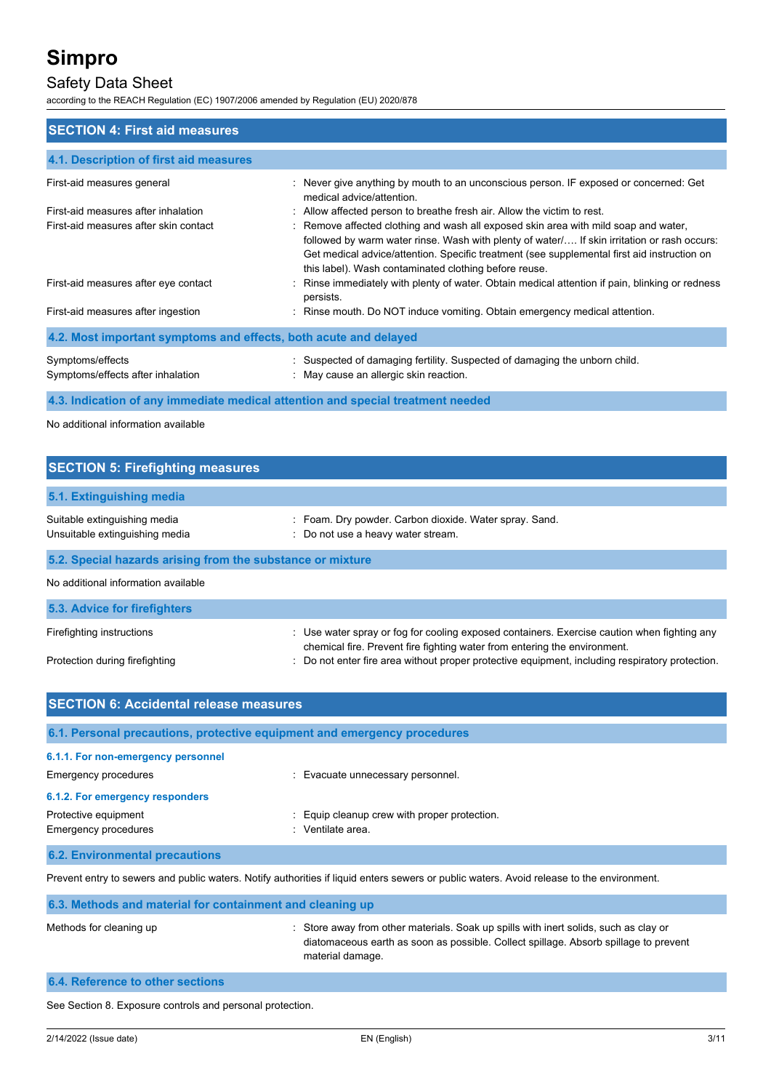## Safety Data Sheet

according to the REACH Regulation (EC) 1907/2006 amended by Regulation (EU) 2020/878

| <b>SECTION 4: First aid measures</b>                                            |                                                                                                                                                                                                                                                                                                                                           |  |  |
|---------------------------------------------------------------------------------|-------------------------------------------------------------------------------------------------------------------------------------------------------------------------------------------------------------------------------------------------------------------------------------------------------------------------------------------|--|--|
| 4.1. Description of first aid measures                                          |                                                                                                                                                                                                                                                                                                                                           |  |  |
| First-aid measures general                                                      | : Never give anything by mouth to an unconscious person. IF exposed or concerned: Get<br>medical advice/attention.                                                                                                                                                                                                                        |  |  |
| First-aid measures after inhalation                                             | : Allow affected person to breathe fresh air. Allow the victim to rest.                                                                                                                                                                                                                                                                   |  |  |
| First-aid measures after skin contact                                           | : Remove affected clothing and wash all exposed skin area with mild soap and water,<br>followed by warm water rinse. Wash with plenty of water If skin irritation or rash occurs:<br>Get medical advice/attention. Specific treatment (see supplemental first aid instruction on<br>this label). Wash contaminated clothing before reuse. |  |  |
| First-aid measures after eye contact                                            | Rinse immediately with plenty of water. Obtain medical attention if pain, blinking or redness<br>persists.                                                                                                                                                                                                                                |  |  |
| First-aid measures after ingestion                                              | : Rinse mouth. Do NOT induce vomiting. Obtain emergency medical attention.                                                                                                                                                                                                                                                                |  |  |
| 4.2. Most important symptoms and effects, both acute and delayed                |                                                                                                                                                                                                                                                                                                                                           |  |  |
| Symptoms/effects<br>Symptoms/effects after inhalation                           | : Suspected of damaging fertility. Suspected of damaging the unborn child.<br>: May cause an allergic skin reaction.                                                                                                                                                                                                                      |  |  |
| 4.3. Indication of any immediate medical attention and special treatment needed |                                                                                                                                                                                                                                                                                                                                           |  |  |

No additional information available

| <b>SECTION 5: Firefighting measures</b>                        |                                                                                                                                                                          |  |  |
|----------------------------------------------------------------|--------------------------------------------------------------------------------------------------------------------------------------------------------------------------|--|--|
| 5.1. Extinguishing media                                       |                                                                                                                                                                          |  |  |
| Suitable extinguishing media<br>Unsuitable extinguishing media | : Foam. Dry powder. Carbon dioxide. Water spray. Sand.<br>: Do not use a heavy water stream.                                                                             |  |  |
| 5.2. Special hazards arising from the substance or mixture     |                                                                                                                                                                          |  |  |
| No additional information available                            |                                                                                                                                                                          |  |  |
| 5.3. Advice for firefighters                                   |                                                                                                                                                                          |  |  |
| Firefighting instructions                                      | : Use water spray or fog for cooling exposed containers. Exercise caution when fighting any<br>chemical fire. Prevent fire fighting water from entering the environment. |  |  |

: Do not enter fire area without proper protective equipment, including respiratory protection.

|  | Protection during firefighting |
|--|--------------------------------|
|  |                                |

| <b>SECTION 6: Accidental release measures</b>                                                                                             |                                                               |  |
|-------------------------------------------------------------------------------------------------------------------------------------------|---------------------------------------------------------------|--|
| 6.1. Personal precautions, protective equipment and emergency procedures                                                                  |                                                               |  |
| 6.1.1. For non-emergency personnel<br>Emergency procedures                                                                                | : Evacuate unnecessary personnel.                             |  |
| 6.1.2. For emergency responders                                                                                                           |                                                               |  |
| Protective equipment<br>Emergency procedures                                                                                              | Equip cleanup crew with proper protection.<br>Ventilate area. |  |
| <b>6.2. Environmental precautions</b>                                                                                                     |                                                               |  |
| Prevent entry to sewers and public waters. Notify authorities if liquid enters sewers or public waters. Avoid release to the environment. |                                                               |  |

**6.3. Methods and material for containment and cleaning up** Methods for cleaning up : Store away from other materials. Soak up spills with inert solids, such as clay or diatomaceous earth as soon as possible. Collect spillage. Absorb spillage to prevent material damage.

# **6.4. Reference to other sections**

See Section 8. Exposure controls and personal protection.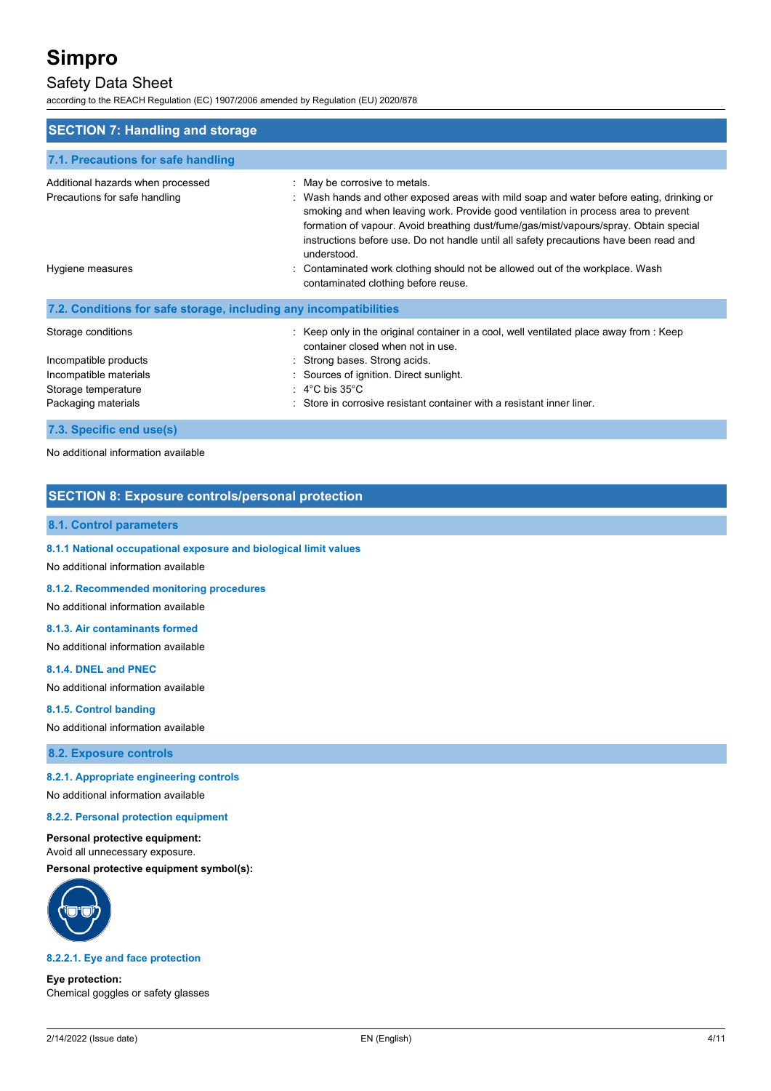## Safety Data Sheet

according to the REACH Regulation (EC) 1907/2006 amended by Regulation (EU) 2020/878

| <b>SECTION 7: Handling and storage</b>                                                                              |                                                                                                                                                                                                                                                                                                                                                                                                                   |  |  |
|---------------------------------------------------------------------------------------------------------------------|-------------------------------------------------------------------------------------------------------------------------------------------------------------------------------------------------------------------------------------------------------------------------------------------------------------------------------------------------------------------------------------------------------------------|--|--|
| 7.1. Precautions for safe handling                                                                                  |                                                                                                                                                                                                                                                                                                                                                                                                                   |  |  |
| Additional hazards when processed<br>Precautions for safe handling                                                  | : May be corrosive to metals.<br>: Wash hands and other exposed areas with mild soap and water before eating, drinking or<br>smoking and when leaving work. Provide good ventilation in process area to prevent<br>formation of vapour. Avoid breathing dust/fume/gas/mist/vapours/spray. Obtain special<br>instructions before use. Do not handle until all safety precautions have been read and<br>understood. |  |  |
| Hygiene measures                                                                                                    | Contaminated work clothing should not be allowed out of the workplace. Wash<br>contaminated clothing before reuse.                                                                                                                                                                                                                                                                                                |  |  |
| 7.2. Conditions for safe storage, including any incompatibilities                                                   |                                                                                                                                                                                                                                                                                                                                                                                                                   |  |  |
| Storage conditions<br>Incompatible products<br>Incompatible materials<br>Storage temperature<br>Packaging materials | $\therefore$ Keep only in the original container in a cool, well ventilated place away from $\therefore$ Keep<br>container closed when not in use.<br>: Strong bases. Strong acids.<br>: Sources of ignition. Direct sunlight.<br>$: 4^{\circ}$ C bis 35 $^{\circ}$ C<br>Store in corrosive resistant container with a resistant inner liner.                                                                     |  |  |
|                                                                                                                     |                                                                                                                                                                                                                                                                                                                                                                                                                   |  |  |

**7.3. Specific end use(s)**

No additional information available

### **SECTION 8: Exposure controls/personal protection**

#### **8.1. Control parameters**

**8.1.1 National occupational exposure and biological limit values**

No additional information available

**8.1.2. Recommended monitoring procedures**

No additional information available

### **8.1.3. Air contaminants formed**

No additional information available

#### **8.1.4. DNEL and PNEC**

No additional information available

#### **8.1.5. Control banding**

No additional information available

**8.2. Exposure controls**

#### **8.2.1. Appropriate engineering controls**

No additional information available

#### **8.2.2. Personal protection equipment**

**Personal protective equipment:** Avoid all unnecessary exposure.

**Personal protective equipment symbol(s):**



#### **8.2.2.1. Eye and face protection**

**Eye protection:** Chemical goggles or safety glasses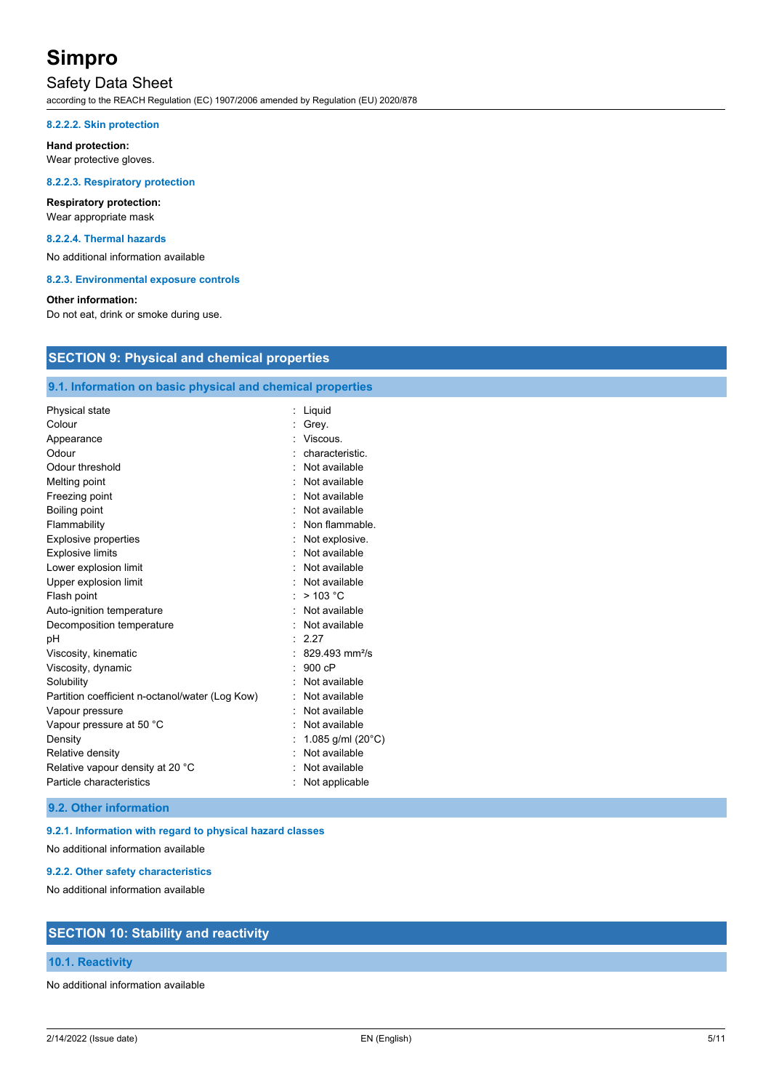## Safety Data Sheet

according to the REACH Regulation (EC) 1907/2006 amended by Regulation (EU) 2020/878

#### **8.2.2.2. Skin protection**

**Hand protection:** Wear protective gloves.

#### **8.2.2.3. Respiratory protection**

### **Respiratory protection:** Wear appropriate mask

#### **8.2.2.4. Thermal hazards**

No additional information available

**8.2.3. Environmental exposure controls**

#### **Other information:**

Do not eat, drink or smoke during use.

### **SECTION 9: Physical and chemical properties**

#### **9.1. Information on basic physical and chemical properties**

| Physical state                                  | Liquid                      |
|-------------------------------------------------|-----------------------------|
| Colour                                          | Grey.                       |
| Appearance                                      | : Viscous.                  |
| Odour                                           | characteristic.             |
| Odour threshold                                 | · Not available             |
| Melting point                                   | Not available               |
| Freezing point                                  | : Not available             |
| Boiling point                                   | Not available               |
| Flammability                                    | : Non flammable.            |
| <b>Explosive properties</b>                     | Not explosive.              |
| <b>Explosive limits</b>                         | : Not available             |
| Lower explosion limit                           | Not available               |
| Upper explosion limit                           | : Not available             |
| Flash point                                     | : $> 103 °C$                |
| Auto-ignition temperature                       | Not available               |
| Decomposition temperature                       | : Not available             |
| рH                                              | 2.27                        |
| Viscosity, kinematic                            | $829493$ mm <sup>2</sup> /s |
| Viscosity, dynamic                              | 900cP                       |
| Solubility                                      | Not available               |
| Partition coefficient n-octanol/water (Log Kow) | Not available               |
| Vapour pressure                                 | Not available               |
| Vapour pressure at 50 °C                        | Not available               |
| Density                                         | 1.085 g/ml $(20^{\circ}C)$  |
| Relative density                                | Not available               |
| Relative vapour density at 20 °C                | Not available               |
| Particle characteristics                        | Not applicable              |

### **9.2. Other information**

#### **9.2.1. Information with regard to physical hazard classes**

No additional information available

#### **9.2.2. Other safety characteristics**

No additional information available

## **SECTION 10: Stability and reactivity**

#### **10.1. Reactivity**

No additional information available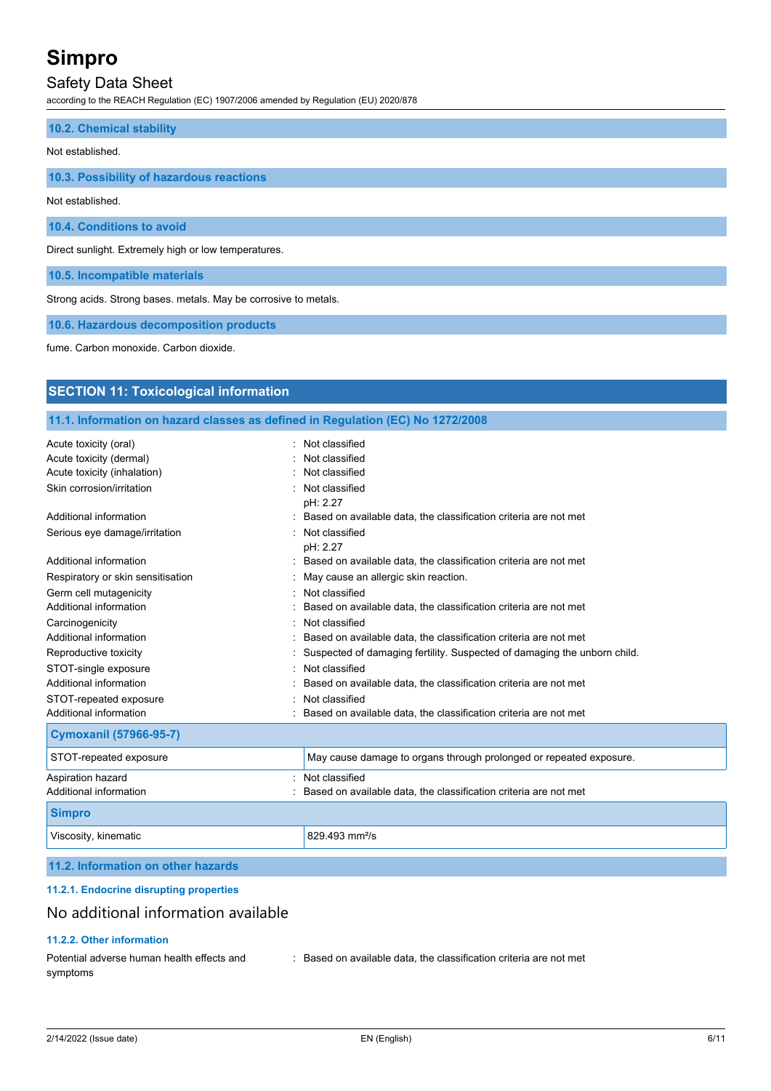## Safety Data Sheet

according to the REACH Regulation (EC) 1907/2006 amended by Regulation (EU) 2020/878

| 10.2. Chemical stability                                        |
|-----------------------------------------------------------------|
| Not established.                                                |
| 10.3. Possibility of hazardous reactions                        |
| Not established.                                                |
| 10.4. Conditions to avoid                                       |
| Direct sunlight. Extremely high or low temperatures.            |
| 10.5. Incompatible materials                                    |
| Strong acids. Strong bases, metals. May be corrosive to metals. |

**10.6. Hazardous decomposition products**

fume. Carbon monoxide. Carbon dioxide.

## **SECTION 11: Toxicological information**

### **11.1. Information on hazard classes as defined in Regulation (EC) No 1272/2008**

| Acute toxicity (oral)              | Not classified                                                           |
|------------------------------------|--------------------------------------------------------------------------|
| Acute toxicity (dermal)            | Not classified                                                           |
| Acute toxicity (inhalation)        | Not classified                                                           |
| Skin corrosion/irritation          | Not classified<br>pH: 2.27                                               |
| Additional information             | Based on available data, the classification criteria are not met         |
| Serious eye damage/irritation      | Not classified<br>pH: 2.27                                               |
| Additional information             | Based on available data, the classification criteria are not met         |
| Respiratory or skin sensitisation  | May cause an allergic skin reaction.                                     |
| Germ cell mutagenicity             | Not classified                                                           |
| Additional information             | Based on available data, the classification criteria are not met         |
| Carcinogenicity                    | Not classified                                                           |
| Additional information             | Based on available data, the classification criteria are not met         |
| Reproductive toxicity              | Suspected of damaging fertility. Suspected of damaging the unborn child. |
| STOT-single exposure               | Not classified                                                           |
| Additional information             | Based on available data, the classification criteria are not met         |
| STOT-repeated exposure             | Not classified                                                           |
| Additional information             | Based on available data, the classification criteria are not met         |
| <b>Cymoxanil (57966-95-7)</b>      |                                                                          |
| STOT-repeated exposure             | May cause damage to organs through prolonged or repeated exposure.       |
| Aspiration hazard                  | Not classified                                                           |
| Additional information             | Based on available data, the classification criteria are not met         |
| <b>Simpro</b>                      |                                                                          |
| Viscosity, kinematic               | 829.493 mm <sup>2</sup> /s                                               |
| 11.2. Information on other hazards |                                                                          |
|                                    |                                                                          |

### **11.2.1. Endocrine disrupting properties**

## No additional information available

### **11.2.2. Other information**

| Potential adverse human health effects and | Based on available data, the classification criteria are not met |  |  |
|--------------------------------------------|------------------------------------------------------------------|--|--|
| symptoms                                   |                                                                  |  |  |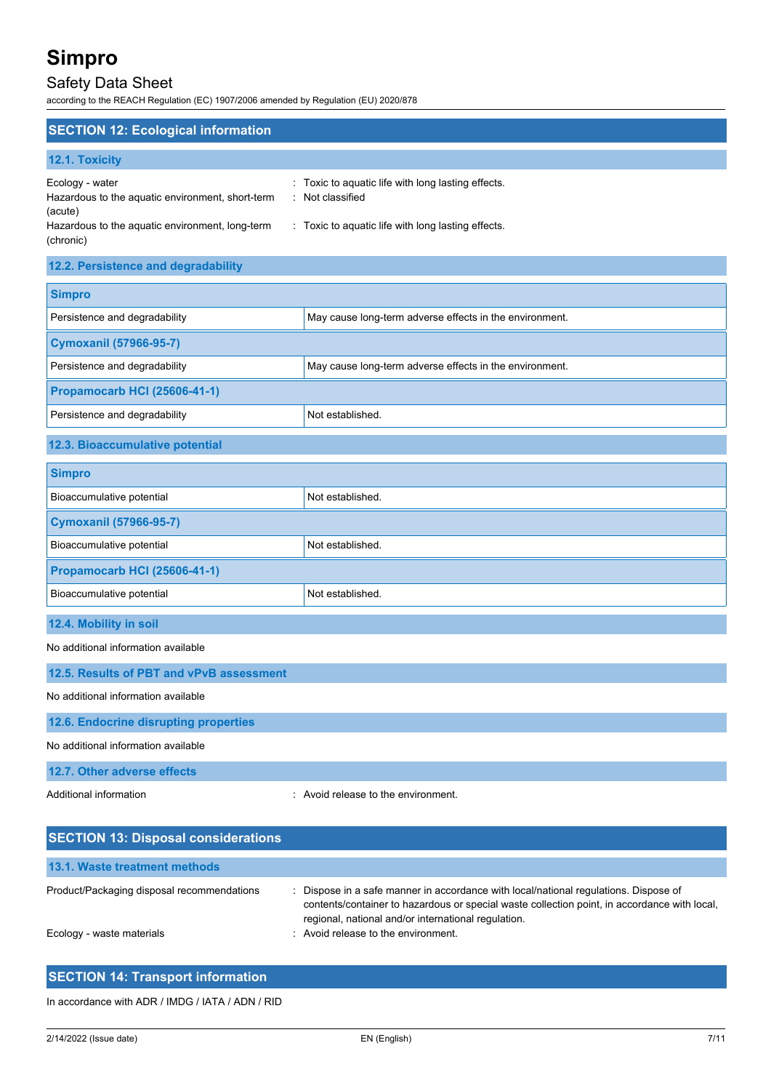(chronic)

## Safety Data Sheet

according to the REACH Regulation (EC) 1907/2006 amended by Regulation (EU) 2020/878

| <b>SECTION 12: Ecological information</b>                                      |                                                                      |
|--------------------------------------------------------------------------------|----------------------------------------------------------------------|
| <b>12.1. Toxicity</b>                                                          |                                                                      |
| Ecology - water<br>Hazardous to the aquatic environment, short-term<br>(acute) | : Toxic to aguatic life with long lasting effects.<br>Not classified |
| Hazardous to the aquatic environment, long-term                                | Toxic to aquatic life with long lasting effects.                     |

**12.2. Persistence and degradability**

| <b>Simpro</b>                                                                            |                                                         |  |
|------------------------------------------------------------------------------------------|---------------------------------------------------------|--|
| Persistence and degradability                                                            | May cause long-term adverse effects in the environment. |  |
| <b>Cymoxanil (57966-95-7)</b>                                                            |                                                         |  |
| Persistence and degradability<br>May cause long-term adverse effects in the environment. |                                                         |  |
| <b>Propamocarb HCI (25606-41-1)</b>                                                      |                                                         |  |
| Persistence and degradability                                                            | Not established.                                        |  |
| 12.3. Bioaccumulative potential                                                          |                                                         |  |
| <b>Simpro</b>                                                                            |                                                         |  |
| Bioaccumulative potential                                                                | Not established.                                        |  |

| <b>Cymoxanil (57966-95-7)</b>       |                  |  |
|-------------------------------------|------------------|--|
| Bioaccumulative potential           | Not established. |  |
| <b>Propamocarb HCI (25606-41-1)</b> |                  |  |
| Bioaccumulative potential           | Not established. |  |

**12.4. Mobility in soil**

No additional information available

**12.5. Results of PBT and vPvB assessment** No additional information available **12.6. Endocrine disrupting properties** No additional information available **12.7. Other adverse effects**

Additional information **interest in the environment** of the environment.

| <b>SECTION 13: Disposal considerations</b> |                                                                                                                                                                                                                                             |
|--------------------------------------------|---------------------------------------------------------------------------------------------------------------------------------------------------------------------------------------------------------------------------------------------|
| 13.1. Waste treatment methods              |                                                                                                                                                                                                                                             |
| Product/Packaging disposal recommendations | : Dispose in a safe manner in accordance with local/national regulations. Dispose of<br>contents/container to hazardous or special waste collection point, in accordance with local,<br>regional, national and/or international regulation. |
| Ecology - waste materials                  | : Avoid release to the environment.                                                                                                                                                                                                         |

| <b>SECTION 14: Transport information</b> |  |
|------------------------------------------|--|
|                                          |  |

In accordance with ADR / IMDG / IATA / ADN / RID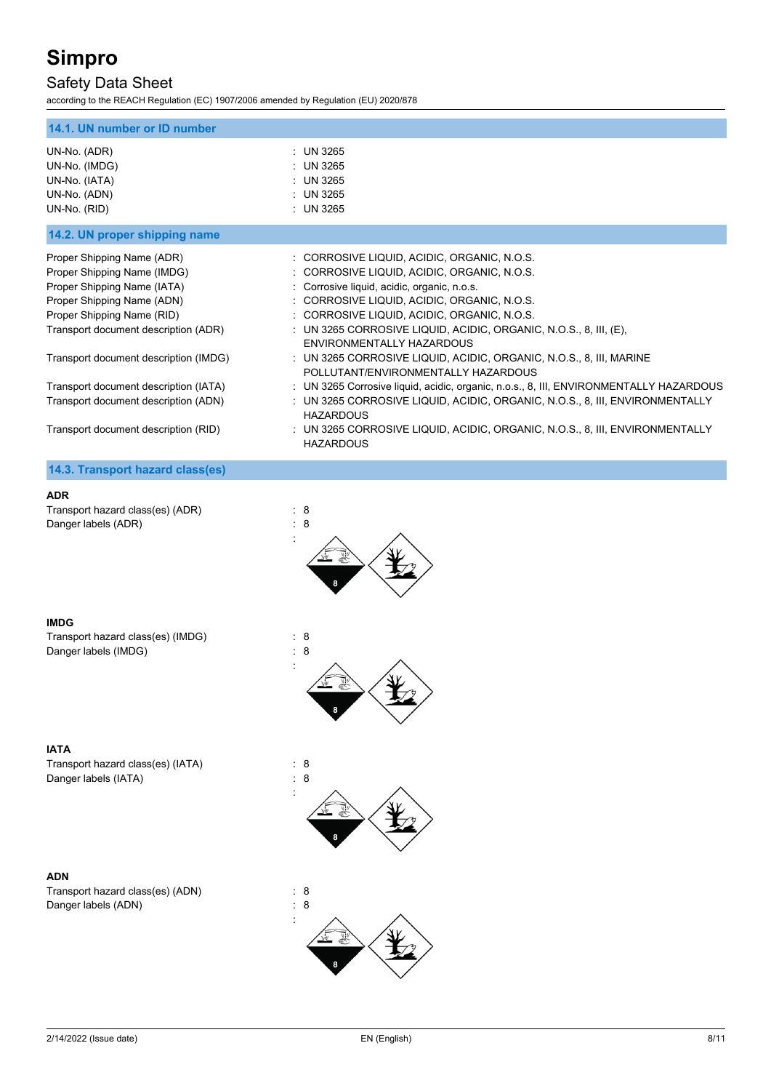## Safety Data Sheet

according to the REACH Regulation (EC) 1907/2006 amended by Regulation (EU) 2020/878

| 14.1. UN number or ID number                                                                                                                                                                                                                                                                                           |                                                                                                                                                                                                                                                                                                                                                                                                                                                                                                                                                                                                                                             |
|------------------------------------------------------------------------------------------------------------------------------------------------------------------------------------------------------------------------------------------------------------------------------------------------------------------------|---------------------------------------------------------------------------------------------------------------------------------------------------------------------------------------------------------------------------------------------------------------------------------------------------------------------------------------------------------------------------------------------------------------------------------------------------------------------------------------------------------------------------------------------------------------------------------------------------------------------------------------------|
| UN-No. (ADR)<br>UN-No. (IMDG)<br>UN-No. (IATA)<br>UN-No. (ADN)<br>UN-No. (RID)                                                                                                                                                                                                                                         | : UN 3265<br>: UN 3265<br>: UN 3265<br>: UN 3265<br>: UN 3265                                                                                                                                                                                                                                                                                                                                                                                                                                                                                                                                                                               |
| 14.2. UN proper shipping name                                                                                                                                                                                                                                                                                          |                                                                                                                                                                                                                                                                                                                                                                                                                                                                                                                                                                                                                                             |
| Proper Shipping Name (ADR)<br>Proper Shipping Name (IMDG)<br>Proper Shipping Name (IATA)<br>Proper Shipping Name (ADN)<br>Proper Shipping Name (RID)<br>Transport document description (ADR)<br>Transport document description (IMDG)<br>Transport document description (IATA)<br>Transport document description (ADN) | : CORROSIVE LIQUID, ACIDIC, ORGANIC, N.O.S.<br>: CORROSIVE LIQUID, ACIDIC, ORGANIC, N.O.S.<br>: Corrosive liquid, acidic, organic, n.o.s.<br>: CORROSIVE LIQUID, ACIDIC, ORGANIC, N.O.S.<br>: CORROSIVE LIQUID, ACIDIC, ORGANIC, N.O.S.<br>: UN 3265 CORROSIVE LIQUID, ACIDIC, ORGANIC, N.O.S., 8, III, $(E)$ ,<br><b>FNVIRONMENTALLY HAZARDOUS</b><br>: UN 3265 CORROSIVE LIQUID, ACIDIC, ORGANIC, N.O.S., 8, III, MARINE<br>POLLUTANT/ENVIRONMENTALLY HAZARDOUS<br>: UN 3265 Corrosive liquid, acidic, organic, n.o.s., 8, III, ENVIRONMENTALLY HAZARDOUS<br>: UN 3265 CORROSIVE LIQUID, ACIDIC, ORGANIC, N.O.S., 8, III, ENVIRONMENTALLY |
| Transport document description (RID)                                                                                                                                                                                                                                                                                   | <b>HAZARDOUS</b><br>: UN 3265 CORROSIVE LIQUID, ACIDIC, ORGANIC, N.O.S., 8, III, ENVIRONMENTALLY<br><b>HAZARDOUS</b>                                                                                                                                                                                                                                                                                                                                                                                                                                                                                                                        |
| 14.3. Transport hazard class(es)                                                                                                                                                                                                                                                                                       |                                                                                                                                                                                                                                                                                                                                                                                                                                                                                                                                                                                                                                             |

#### **ADR**

Transport hazard class(es) (ADR) : 8<br>Danger labels (ADR) : 8 Danger labels (ADR)



#### **IMDG**

Transport hazard class(es) (IMDG) : 8 Danger labels (IMDG) : 8



#### **IATA**

Transport hazard class(es) (IATA) : 8 Danger labels (IATA) : 8



#### **ADN**

Transport hazard class(es) (ADN) : 8 Danger labels (ADN) : 8

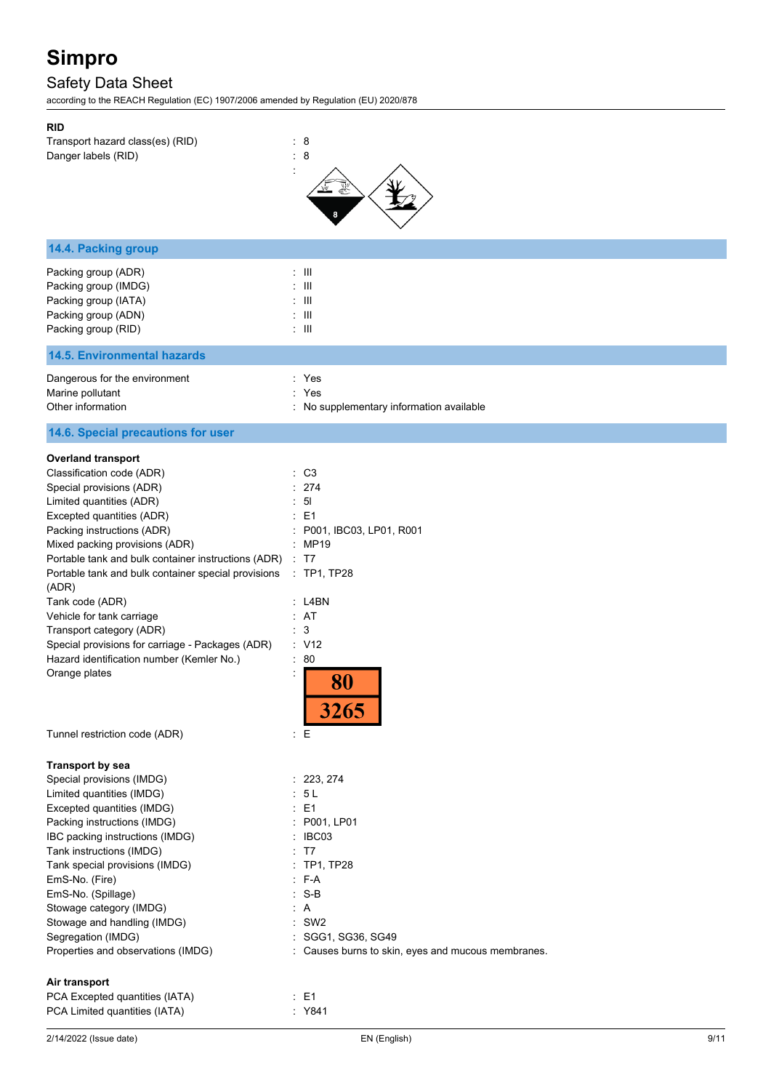## Safety Data Sheet

according to the REACH Regulation (EC) 1907/2006 amended by Regulation (EU) 2020/878

| 2/14/2022 (Issue date)                                                           | EN (English)                                       | 9/11 |
|----------------------------------------------------------------------------------|----------------------------------------------------|------|
| Air transport<br>PCA Excepted quantities (IATA)<br>PCA Limited quantities (IATA) | $\therefore$ E1<br>: Y841                          |      |
|                                                                                  |                                                    |      |
| Properties and observations (IMDG)                                               | : Causes burns to skin, eyes and mucous membranes. |      |
| Stowage and handling (IMDG)<br>Segregation (IMDG)                                | SGG1, SG36, SG49                                   |      |
| Stowage category (IMDG)                                                          | A<br>SW <sub>2</sub>                               |      |
| EmS-No. (Spillage)                                                               | $S-B$                                              |      |
| EmS-No. (Fire)                                                                   | F-A                                                |      |
| Tank special provisions (IMDG)                                                   | <b>TP1, TP28</b>                                   |      |
| IBC packing instructions (IMDG)<br>Tank instructions (IMDG)                      | IBC03<br>T7                                        |      |
| Packing instructions (IMDG)                                                      | P001, LP01                                         |      |
| Excepted quantities (IMDG)                                                       | E <sub>1</sub><br>÷                                |      |
| Limited quantities (IMDG)                                                        | : 5L                                               |      |
| <b>Transport by sea</b><br>Special provisions (IMDG)                             | : 223, 274                                         |      |
|                                                                                  |                                                    |      |
| Tunnel restriction code (ADR)                                                    | 3265<br>÷Е                                         |      |
|                                                                                  |                                                    |      |
| Hazard identification number (Kemler No.)<br>Orange plates                       | 80<br>$\ddot{\cdot}$<br>80                         |      |
| Special provisions for carriage - Packages (ADR)                                 | : V12                                              |      |
| Transport category (ADR)                                                         | 3<br>÷.                                            |      |
| Vehicle for tank carriage                                                        | : AT                                               |      |
| (ADR)<br>Tank code (ADR)                                                         | $:$ L4BN                                           |      |
| Portable tank and bulk container special provisions                              | $:$ TP1, TP28                                      |      |
| Portable tank and bulk container instructions (ADR) : T7                         |                                                    |      |
| Mixed packing provisions (ADR)                                                   | : MP19                                             |      |
| Packing instructions (ADR)                                                       | P001, IBC03, LP01, R001                            |      |
| Limited quantities (ADR)<br>Excepted quantities (ADR)                            | 5 <sub>l</sub><br>E1                               |      |
| Special provisions (ADR)                                                         | 274                                                |      |
| Classification code (ADR)                                                        | $\therefore$ C3                                    |      |
| <b>Overland transport</b>                                                        |                                                    |      |
| 14.6. Special precautions for user                                               |                                                    |      |
| Other information                                                                | : No supplementary information available           |      |
| Dangerous for the environment<br>Marine pollutant                                | : Yes<br>Yes                                       |      |
| <b>14.5. Environmental hazards</b>                                               |                                                    |      |
| Packing group (RID)                                                              | $\pm$ 111                                          |      |
| Packing group (ADN)                                                              | $\pm$ 111                                          |      |
| Packing group (IATA)                                                             | Ш                                                  |      |
| Packing group (IMDG)                                                             | -III                                               |      |
| Packing group (ADR)                                                              | $\pm$ 111                                          |      |
| 14.4. Packing group                                                              |                                                    |      |
|                                                                                  |                                                    |      |
| Danger labels (RID)                                                              | 8<br>÷                                             |      |
| Transport hazard class(es) (RID)                                                 | : 8                                                |      |
| <b>RID</b>                                                                       |                                                    |      |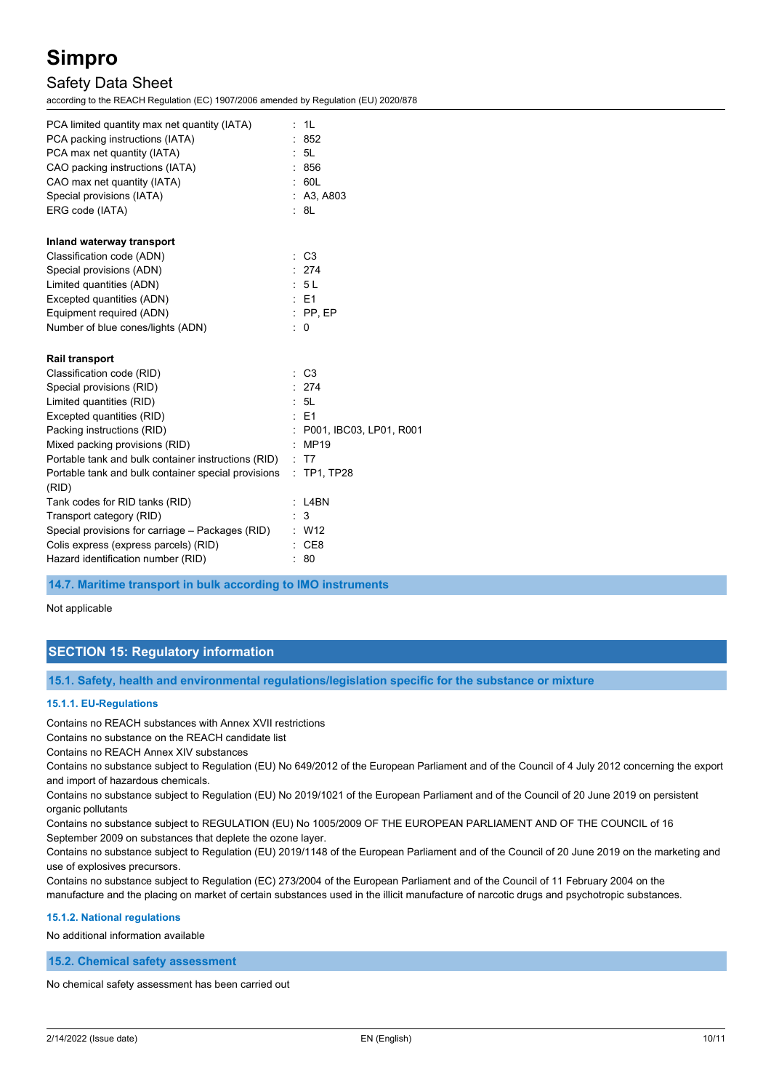## Safety Data Sheet

according to the REACH Regulation (EC) 1907/2006 amended by Regulation (EU) 2020/878

| PCA limited quantity max net quantity (IATA)<br>PCA packing instructions (IATA)<br>PCA max net quantity (IATA)<br>CAO packing instructions (IATA)<br>CAO max net quantity (IATA) | : 1L<br>852<br>5L<br>: 856<br>: 60L |
|----------------------------------------------------------------------------------------------------------------------------------------------------------------------------------|-------------------------------------|
| Special provisions (IATA)                                                                                                                                                        | A3, A803                            |
| ERG code (IATA)                                                                                                                                                                  | : 8L                                |
| Inland waterway transport                                                                                                                                                        |                                     |
| Classification code (ADN)                                                                                                                                                        | $\therefore$ C <sub>3</sub>         |
| Special provisions (ADN)                                                                                                                                                         | : 274                               |
| Limited quantities (ADN)                                                                                                                                                         | - 5 L                               |
| Excepted quantities (ADN)                                                                                                                                                        | : E1                                |
| Equipment required (ADN)                                                                                                                                                         | $:$ PP, EP                          |
| Number of blue cones/lights (ADN)                                                                                                                                                | 0                                   |
| <b>Rail transport</b>                                                                                                                                                            |                                     |
| Classification code (RID)                                                                                                                                                        | C <sub>3</sub>                      |
| Special provisions (RID)                                                                                                                                                         | : 274                               |
| Limited quantities (RID)                                                                                                                                                         | : 5L                                |
| Excepted quantities (RID)                                                                                                                                                        | $E = 1$                             |
| Packing instructions (RID)                                                                                                                                                       | P001, IBC03, LP01, R001             |
| Mixed packing provisions (RID)                                                                                                                                                   | <b>MP19</b>                         |
| Portable tank and bulk container instructions (RID)                                                                                                                              | T7                                  |
| Portable tank and bulk container special provisions                                                                                                                              | : TP1, TP28                         |
| (RID)                                                                                                                                                                            |                                     |
| Tank codes for RID tanks (RID)                                                                                                                                                   | L4BN                                |
| Transport category (RID)                                                                                                                                                         | 3                                   |
| Special provisions for carriage – Packages (RID)                                                                                                                                 | $\therefore$ W12                    |
| Colis express (express parcels) (RID)                                                                                                                                            | CE8                                 |
| Hazard identification number (RID)                                                                                                                                               | -80                                 |

**14.7. Maritime transport in bulk according to IMO instruments**

Not applicable

## **SECTION 15: Regulatory information**

**15.1. Safety, health and environmental regulations/legislation specific for the substance or mixture**

#### **15.1.1. EU-Regulations**

Contains no REACH substances with Annex XVII restrictions

Contains no substance on the REACH candidate list

Contains no REACH Annex XIV substances

Contains no substance subject to Regulation (EU) No 649/2012 of the European Parliament and of the Council of 4 July 2012 concerning the export and import of hazardous chemicals.

Contains no substance subject to Regulation (EU) No 2019/1021 of the European Parliament and of the Council of 20 June 2019 on persistent organic pollutants

Contains no substance subject to REGULATION (EU) No 1005/2009 OF THE EUROPEAN PARLIAMENT AND OF THE COUNCIL of 16 September 2009 on substances that deplete the ozone layer.

Contains no substance subject to Regulation (EU) 2019/1148 of the European Parliament and of the Council of 20 June 2019 on the marketing and use of explosives precursors.

Contains no substance subject to Regulation (EC) 273/2004 of the European Parliament and of the Council of 11 February 2004 on the manufacture and the placing on market of certain substances used in the illicit manufacture of narcotic drugs and psychotropic substances.

#### **15.1.2. National regulations**

No additional information available

**15.2. Chemical safety assessment**

No chemical safety assessment has been carried out